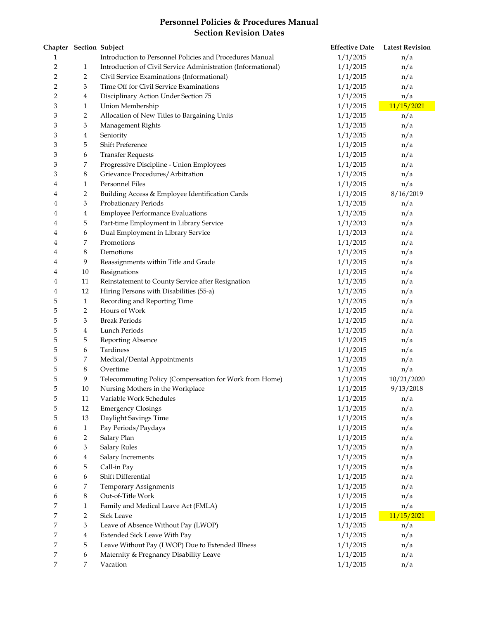## **Personnel Policies & Procedures Manual Section Revision Dates**

|   | Chapter Section Subject |                                                              | <b>Effective Date</b> | <b>Latest Revision</b> |
|---|-------------------------|--------------------------------------------------------------|-----------------------|------------------------|
| 1 |                         | Introduction to Personnel Policies and Procedures Manual     | 1/1/2015              | n/a                    |
| 2 | 1                       | Introduction of Civil Service Administration (Informational) | 1/1/2015              | n/a                    |
| 2 | $\overline{2}$          | Civil Service Examinations (Informational)                   | 1/1/2015              | n/a                    |
| 2 | 3                       | Time Off for Civil Service Examinations                      | 1/1/2015              | n/a                    |
| 2 | 4                       | Disciplinary Action Under Section 75                         | 1/1/2015              | n/a                    |
| 3 | $\mathbf{1}$            | Union Membership                                             | 1/1/2015              | 11/15/2021             |
| 3 | $\overline{2}$          | Allocation of New Titles to Bargaining Units                 | 1/1/2015              | n/a                    |
| 3 | 3                       | Management Rights                                            | 1/1/2015              | n/a                    |
| 3 | $\bf 4$                 | Seniority                                                    | 1/1/2015              | n/a                    |
| 3 | 5                       | <b>Shift Preference</b>                                      | 1/1/2015              | n/a                    |
| 3 | 6                       | <b>Transfer Requests</b>                                     | 1/1/2015              | n/a                    |
| 3 | 7                       | Progressive Discipline - Union Employees                     | 1/1/2015              | n/a                    |
| 3 | $\,8\,$                 | Grievance Procedures/Arbitration                             | 1/1/2015              | n/a                    |
| 4 | $\mathbf{1}$            | Personnel Files                                              | 1/1/2015              | n/a                    |
| 4 | 2                       | Building Access & Employee Identification Cards              | 1/1/2015              | 8/16/2019              |
| 4 | 3                       | Probationary Periods                                         | 1/1/2015              | n/a                    |
| 4 | $\overline{4}$          | <b>Employee Performance Evaluations</b>                      | 1/1/2015              | n/a                    |
| 4 | 5                       | Part-time Employment in Library Service                      | 1/1/2013              | n/a                    |
| 4 | 6                       | Dual Employment in Library Service                           | 1/1/2013              | n/a                    |
| 4 | 7                       | Promotions                                                   | 1/1/2015              | n/a                    |
| 4 | 8                       | Demotions                                                    | 1/1/2015              | n/a                    |
| 4 | 9                       | Reassignments within Title and Grade                         | 1/1/2015              | n/a                    |
| 4 | $10\,$                  | Resignations                                                 | 1/1/2015              | n/a                    |
| 4 | 11                      | Reinstatement to County Service after Resignation            | 1/1/2015              | n/a                    |
| 4 | 12                      | Hiring Persons with Disabilities (55-a)                      | 1/1/2015              | n/a                    |
| 5 | $\mathbf{1}$            | Recording and Reporting Time                                 | 1/1/2015              | n/a                    |
| 5 | $\overline{2}$          | Hours of Work                                                | 1/1/2015              | n/a                    |
| 5 | 3                       | <b>Break Periods</b>                                         | 1/1/2015              | n/a                    |
| 5 | $\overline{4}$          | Lunch Periods                                                | 1/1/2015              | n/a                    |
| 5 | 5                       | <b>Reporting Absence</b>                                     | 1/1/2015              | n/a                    |
| 5 | 6                       | Tardiness                                                    | 1/1/2015              | n/a                    |
| 5 | 7                       | Medical/Dental Appointments                                  | 1/1/2015              | n/a                    |
| 5 | $8\phantom{1}$          | Overtime                                                     | 1/1/2015              | n/a                    |
| 5 | 9                       | Telecommuting Policy (Compensation for Work from Home)       | 1/1/2015              | 10/21/2020             |
| 5 | 10                      | Nursing Mothers in the Workplace                             | 1/1/2015              | 9/13/2018              |
| 5 | 11                      | Variable Work Schedules                                      | 1/1/2015              | n/a                    |
| 5 | 12                      | <b>Emergency Closings</b>                                    | 1/1/2015              | n/a                    |
| 5 | 13                      | Daylight Savings Time                                        | 1/1/2015              | n/a                    |
| 6 | $\mathbf{1}$            | Pay Periods/Paydays                                          | 1/1/2015              | n/a                    |
| 6 | 2                       | Salary Plan                                                  | 1/1/2015              | n/a                    |
| 6 | 3                       | <b>Salary Rules</b>                                          | 1/1/2015              | n/a                    |
| 6 | 4                       | Salary Increments                                            | 1/1/2015              | n/a                    |
| 6 | 5                       | Call-in Pay                                                  | 1/1/2015              | n/a                    |
| 6 | 6                       | Shift Differential                                           | 1/1/2015              | n/a                    |
| 6 | 7                       | Temporary Assignments                                        | 1/1/2015              | n/a                    |
| 6 | 8                       | Out-of-Title Work                                            | 1/1/2015              | n/a                    |
| 7 | $\mathbf{1}$            | Family and Medical Leave Act (FMLA)                          | 1/1/2015              | n/a                    |
| 7 | $\overline{2}$          | <b>Sick Leave</b>                                            | 1/1/2015              | 11/15/2021             |
| 7 | $\mathfrak{Z}$          | Leave of Absence Without Pay (LWOP)                          | 1/1/2015              | n/a                    |
| 7 | $\overline{4}$          | <b>Extended Sick Leave With Pay</b>                          | 1/1/2015              | n/a                    |
| 7 | 5                       | Leave Without Pay (LWOP) Due to Extended Illness             | 1/1/2015              | n/a                    |
| 7 | 6                       | Maternity & Pregnancy Disability Leave                       | 1/1/2015              | n/a                    |
| 7 | 7                       | Vacation                                                     | 1/1/2015              | n/a                    |